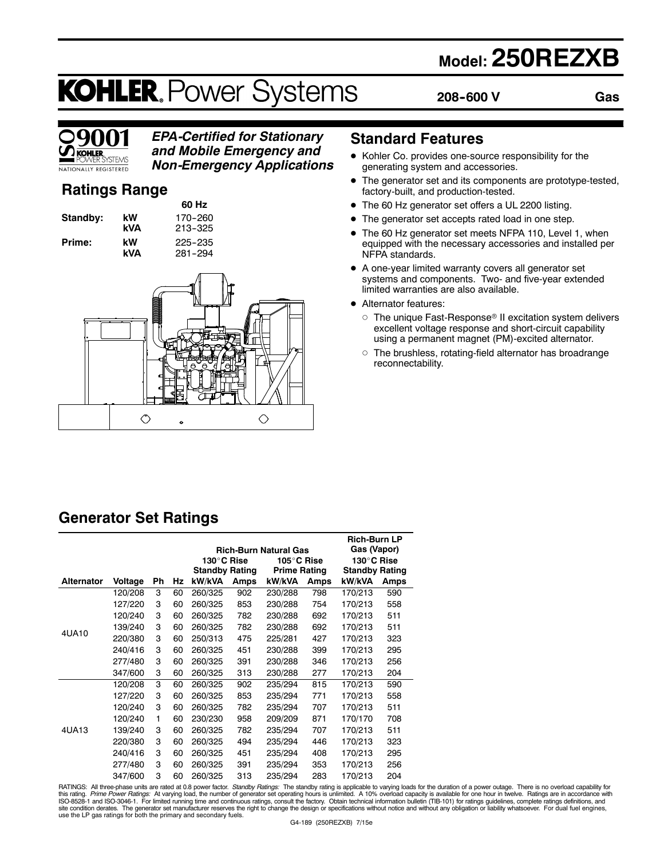# **Model: 250REZXB**

# **KOHLER. Power Systems**

**208--600 V**

**Gas**



# *EPA-Certified for Stationary and Mobile Emergency and*

*Non-Emergency Applications*

# **Ratings Range**

**60 Hz Standby: kW 170-260 Prime:** kW 225-235<br>**kVA** 281-294





### **Standard Features**

- $\bullet$  Kohler Co. provides one-source responsibility for the generating system and accessories.
- The generator set and its components are prototype-tested, factory-built, and production-tested.
- The 60 Hz generator set offers a UL 2200 listing.
- The generator set accepts rated load in one step.
- The 60 Hz generator set meets NFPA 110, Level 1, when equipped with the necessary accessories and installed per NFPA standards.
- $\bullet$  A one-year limited warranty covers all generator set systems and components. Two- and five-year extended limited warranties are also available.
- Alternator features:
	- $\circ$  The unique Fast-Response® II excitation system delivers excellent voltage response and short-circuit capability using a permanent magnet (PM)-excited alternator.
	- $\circ$  The brushless, rotating-field alternator has broadrange reconnectability.

# **Generator Set Ratings**

|                   |         |    |    |                       |      | <b>Rich-Burn Natural Gas</b> |      | <b>Rich-Burn LP</b><br>Gas (Vapor) |      |
|-------------------|---------|----|----|-----------------------|------|------------------------------|------|------------------------------------|------|
|                   |         |    |    | 130°C Rise            |      | 105°C Rise                   |      | 130°C Rise                         |      |
|                   |         |    |    | <b>Standby Rating</b> |      | <b>Prime Rating</b>          |      | <b>Standby Rating</b>              |      |
| <b>Alternator</b> | Voltage | Ph | Hz | kW/kVA                | Amps | kW/kVA                       | Amps | kW/kVA                             | Amps |
|                   | 120/208 | 3  | 60 | 260/325               | 902  | 230/288                      | 798  | 170/213                            | 590  |
|                   | 127/220 | 3  | 60 | 260/325               | 853  | 230/288                      | 754  | 170/213                            | 558  |
|                   | 120/240 | 3  | 60 | 260/325               | 782  | 230/288                      | 692  | 170/213                            | 511  |
|                   | 139/240 | 3  | 60 | 260/325               | 782  | 230/288                      | 692  | 170/213                            | 511  |
| 4UA10             | 220/380 | 3  | 60 | 250/313               | 475  | 225/281                      | 427  | 170/213                            | 323  |
|                   | 240/416 | 3  | 60 | 260/325               | 451  | 230/288                      | 399  | 170/213                            | 295  |
|                   | 277/480 | 3  | 60 | 260/325               | 391  | 230/288                      | 346  | 170/213                            | 256  |
|                   | 347/600 | 3  | 60 | 260/325               | 313  | 230/288                      | 277  | 170/213                            | 204  |
|                   | 120/208 | 3  | 60 | 260/325               | 902  | 235/294                      | 815  | 170/213                            | 590  |
|                   | 127/220 | 3  | 60 | 260/325               | 853  | 235/294                      | 771  | 170/213                            | 558  |
|                   | 120/240 | 3  | 60 | 260/325               | 782  | 235/294                      | 707  | 170/213                            | 511  |
|                   | 120/240 | 1  | 60 | 230/230               | 958  | 209/209                      | 871  | 170/170                            | 708  |
| 4UA13             | 139/240 | 3  | 60 | 260/325               | 782  | 235/294                      | 707  | 170/213                            | 511  |
|                   | 220/380 | 3  | 60 | 260/325               | 494  | 235/294                      | 446  | 170/213                            | 323  |
|                   | 240/416 | 3  | 60 | 260/325               | 451  | 235/294                      | 408  | 170/213                            | 295  |
|                   | 277/480 | 3  | 60 | 260/325               | 391  | 235/294                      | 353  | 170/213                            | 256  |
|                   | 347/600 | 3  | 60 | 260/325               | 313  | 235/294                      | 283  | 170/213                            | 204  |

RATINGS: All three-phase units are rated at 0.8 power factor. *Standby Ratings*: The standby rating is applicable to varying loads for the duration of a power outage. There is no overload capability for<br>this rating. *Prime* use the LP gas ratings for both the primary and secondary fuels.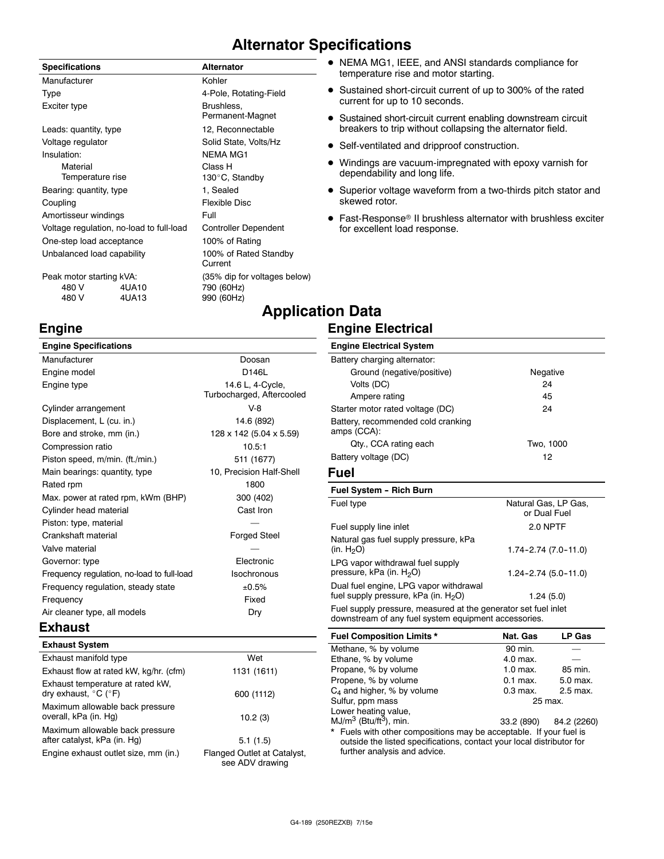# **Alternator Specifications**

| <b>Specifications</b>                    |       | <b>Alternator</b>                |  |  |
|------------------------------------------|-------|----------------------------------|--|--|
| Manufacturer                             |       | Kohler                           |  |  |
| Type                                     |       | 4-Pole, Rotating-Field           |  |  |
| Exciter type                             |       | Brushless,<br>Permanent-Magnet   |  |  |
| Leads: quantity, type                    |       | 12, Reconnectable                |  |  |
| Voltage regulator                        |       | Solid State, Volts/Hz            |  |  |
| Insulation:                              |       | <b>NEMA MG1</b>                  |  |  |
| Material                                 |       | Class H                          |  |  |
| Temperature rise                         |       | 130°C, Standby                   |  |  |
| Bearing: quantity, type                  |       | 1, Sealed                        |  |  |
| Coupling                                 |       | Flexible Disc                    |  |  |
| Amortisseur windings                     |       | Full                             |  |  |
| Voltage regulation, no-load to full-load |       | <b>Controller Dependent</b>      |  |  |
| One-step load acceptance                 |       | 100% of Rating                   |  |  |
| Unbalanced load capability               |       | 100% of Rated Standby<br>Current |  |  |
| Peak motor starting kVA:                 |       | (35% dip for voltages below)     |  |  |
| 480 V                                    | 4UA10 | 790 (60Hz)                       |  |  |
| 480 V                                    | 4UA13 | 990 (60Hz)                       |  |  |

- NEMA MG1, IEEE, and ANSI standards compliance for temperature rise and motor starting.
- Sustained short-circuit current of up to 300% of the rated current for up to 10 seconds.
- Sustained short-circuit current enabling downstream circuit breakers to trip without collapsing the alternator field.
- Self-ventilated and dripproof construction.
- Windings are vacuum-impregnated with epoxy varnish for dependability and long life.
- Superior voltage waveform from a two-thirds pitch stator and skewed rotor.
- Fast-Response<sup>®</sup> II brushless alternator with brushless exciter for excellent load response.

# **Application Data Engine Electrical**

#### **Engine Specifications** Manufacturer **Doosan** Engine model **D146L** Engine type **14.6 L, 4-Cycle**, Turbocharged, Aftercooled Cylinder arrangement V-8 Displacement, L (cu. in.) 14.6 (892) Bore and stroke, mm (in.) 128 x 142 (5.04 x 5.59) Compression ratio 10.5:1 Piston speed, m/min. (ft./min.) 511 (1677) Main bearings: quantity, type 10, Precision Half-Shell Rated rpm 1800 Max. power at rated rpm, kWm (BHP) 300 (402) Cylinder head material Cylinder head material control cast Iron Piston: type, material Crankshaft material **Forged** Steel Valve material Governor: type Electronic Frequency regulation, no-load to full-load Isochronous Frequency regulation, steady state  $\pm 0.5\%$ Frequency Fixed Air cleaner type, all models **Dry Engine Electrical System** Battery charging alternator: Ground (negative/positive) Negative Volts (DC) 24 Ampere rating 45 Starter motor rated voltage (DC) 24 Battery, recommended cold cranking amps (CCA): Qty., CCA rating each Two, 1000 Battery voltage (DC) 12 **Fuel Fuel System - Rich Burn** Fuel type **Natural Gas, LP Gas,** Natural Gas, LP Gas, Fuel supply line inlet 2.0 NPTF Natural gas fuel supply pressure, kPa  $(in. H<sub>2</sub>O)$ LPG vapor withdrawal fuel supply pressure, kPa (in.  $H_2O$ ) 1.24-2.74 (5.0-11.0) Dual fuel engine, LPG vapor withdrawal fuel supply pressure,  $kPa$  (in.  $H_2O$ ) 1.24 (5.0) Fuel supply pressure, measured at the generator set fuel inlet downstream of any fuel system equipment accessories.

#### **Exhaust**

**Engine**

| <b>Exhaust System</b>                                                         |                                                |
|-------------------------------------------------------------------------------|------------------------------------------------|
| Exhaust manifold type                                                         | Wet                                            |
| Exhaust flow at rated kW, kg/hr. (cfm)                                        | 1131 (1611)                                    |
| Exhaust temperature at rated kW.<br>dry exhaust, $^{\circ}$ C ( $^{\circ}$ F) | 600 (1112)                                     |
| Maximum allowable back pressure<br>overall, kPa (in. Hg)                      | 10.2(3)                                        |
| Maximum allowable back pressure<br>after catalyst, kPa (in. Hg)               | 5.1(1.5)                                       |
| Engine exhaust outlet size, mm (in.)                                          | Flanged Outlet at Catalyst,<br>see ADV drawing |

 $C_4$  and higher, % by volume 0.3 max. 2.5 max. Sulfur, ppm mass 25 max. Lower heating value,  $MJ/m<sup>3</sup>$  (Btu/ft<sup>3</sup>), min.  $33.2$  (890) 84.2 (2260) Fuels with other compositions may be acceptable. If your fuel is outside the listed specifications, contact your local distributor for further analysis and advice.

**Fuel Composition Limits \* Nat. Gas LP Gas**

Propane, % by volume 1.0 max. 85 min. Propene, % by volume 0.1 max. 5.0 max.

Methane, % by volume 90 min. Ethane, % by volume 4.0 max.

or Dual Fuel

1.74-2.74 (7.0-11.0)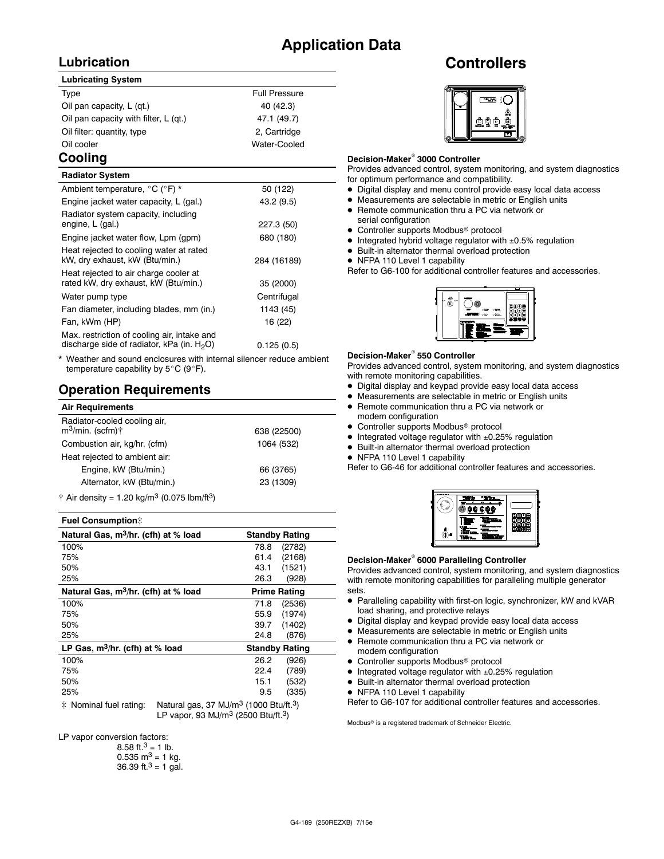# **Application Data**

## **Lubrication**

#### **Lubricating System**

| Type                                  | <b>Full Pressure</b> |
|---------------------------------------|----------------------|
| Oil pan capacity, L (gt.)             | 40 (42.3)            |
| Oil pan capacity with filter, L (qt.) | 47.1 (49.7)          |
| Oil filter: quantity, type            | 2, Cartridge         |
| Oil cooler                            | Water-Cooled         |
|                                       |                      |

# **Cooling**

| <b>Radiator System</b>                                                                       |             |
|----------------------------------------------------------------------------------------------|-------------|
| Ambient temperature, °C (°F) *                                                               | 50 (122)    |
| Engine jacket water capacity, L (gal.)                                                       | 43.2 (9.5)  |
| Radiator system capacity, including<br>engine, L (gal.)                                      | 227.3 (50)  |
| Engine jacket water flow, Lpm (gpm)                                                          | 680 (180)   |
| Heat rejected to cooling water at rated<br>kW, dry exhaust, kW (Btu/min.)                    | 284 (16189) |
| Heat rejected to air charge cooler at<br>rated kW, dry exhaust, kW (Btu/min.)                | 35 (2000)   |
| Water pump type                                                                              | Centrifugal |
| Fan diameter, including blades, mm (in.)                                                     | 1143 (45)   |
| Fan, kWm (HP)                                                                                | 16 (22)     |
| Max. restriction of cooling air, intake and<br>discharge side of radiator, kPa (in. $H_2O$ ) | 0.125(0.5)  |

Weather and sound enclosures with internal silencer reduce ambient temperature capability by  $5^{\circ}$ C (9 $^{\circ}$ F).

### **Operation Requirements**

| <b>Air Requirements</b>                                      |             |
|--------------------------------------------------------------|-------------|
| Radiator-cooled cooling air,<br>$m^3$ /min. (scfm) $\dagger$ | 638 (22500) |
| Combustion air, kg/hr. (cfm)                                 | 1064 (532)  |
| Heat rejected to ambient air:                                |             |
| Engine, kW (Btu/min.)                                        | 66 (3765)   |
| Alternator, kW (Btu/min.)                                    | 23 (1309)   |
| $A = 0.5$ denote $A = 0.01$ and $A = 3$ (0.075 lbs. $(0.3)$  |             |

 $\dagger$  Air density = 1.20 kg/m<sup>3</sup> (0.075 lbm/ft<sup>3</sup>)

#### **Fuel Consumption**]

| Natural Gas, m <sup>3</sup> /hr. (cfh) at % load                        | <b>Standby Rating</b> |
|-------------------------------------------------------------------------|-----------------------|
| 100%                                                                    | (2782)<br>78.8        |
| 75%                                                                     | (2168)<br>61.4        |
| 50%                                                                     | (1521)<br>43.1        |
| 25%                                                                     | (928)<br>26.3         |
| Natural Gas, m <sup>3</sup> /hr. (cfh) at % load<br><b>Prime Rating</b> |                       |
| 100%                                                                    | (2536)<br>71.8        |
| 75%                                                                     | (1974)<br>55.9        |
| 50%                                                                     | (1402)<br>39.7        |
| 25%                                                                     | (876)<br>24.8         |
| LP Gas, $m^3/hr$ . (cfh) at % load                                      | <b>Standby Rating</b> |
| 100%                                                                    | (926)<br>26.2         |
| 75%                                                                     | (789)<br>22.4         |
| 50%                                                                     | 15.1<br>(532)         |
| 25%                                                                     | (335)<br>9.5          |
|                                                                         | $\sim$ $\sim$         |

 $\ddagger$  Nominal fuel rating: Natural gas, 37 MJ/m<sup>3</sup> (1000 Btu/ft.<sup>3</sup>) LP vapor, 93 MJ/m3 (2500 Btu/ft.3)

LP vapor conversion factors:

| 8.58 ft. <sup>3</sup> = 1 lb.        |
|--------------------------------------|
| $0.535 \text{ m}^3 = 1 \text{ kg}$ . |
| 36.39 ft. $3 = 1$ gal.               |

# **Controllers**



#### **Decision-Maker<sup>®</sup> 3000 Controller**

Provides advanced control, system monitoring, and system diagnostics for optimum performance and compatibility.

- $\bullet$  Digital display and menu control provide easy local data access
- $\bullet$  Measurements are selectable in metric or English units
- Remote communication thru a PC via network or serial configuration
- Controller supports Modbus<sup>®</sup> protocol
- $\bullet$  Integrated hybrid voltage regulator with  $\pm 0.5\%$  regulation
- $\bullet$  Built-in alternator thermal overload protection
- NFPA 110 Level 1 capability

Refer to G6-100 for additional controller features and accessories.



#### **Decision-Maker<sup>®</sup> 550 Controller**

Provides advanced control, system monitoring, and system diagnostics with remote monitoring capabilities.

- $\bullet$  Digital display and keypad provide easy local data access
- $\bullet$  Measurements are selectable in metric or English units
- Remote communication thru a PC via network or
- modem configuration  $\bullet$  Controller supports Modbus<sup>®</sup> protocol
- $\bullet$  Integrated voltage regulator with  $\pm 0.25\%$  regulation
- $\bullet$  Built-in alternator thermal overload protection
- 
- NFPA 110 Level 1 capability

Refer to G6-46 for additional controller features and accessories.



#### **Decision-Maker<sup>®</sup> 6000 Paralleling Controller**

Provides advanced control, system monitoring, and system diagnostics with remote monitoring capabilities for paralleling multiple generator sets.

- Paralleling capability with first-on logic, synchronizer, kW and kVAR load sharing, and protective relays
- $\bullet$  Digital display and keypad provide easy local data access
- $\bullet$  Measurements are selectable in metric or English units
- Remote communication thru a PC via network or modem configuration
- $\bullet$  Controller supports Modbus<sup>®</sup> protocol
- $\bullet$  Integrated voltage regulator with  $\pm 0.25\%$  regulation
- $\bullet$  Built-in alternator thermal overload protection
- NFPA 110 Level 1 capability

Refer to G6-107 for additional controller features and accessories.

Modbus<sup>®</sup> is a registered trademark of Schneider Electric.